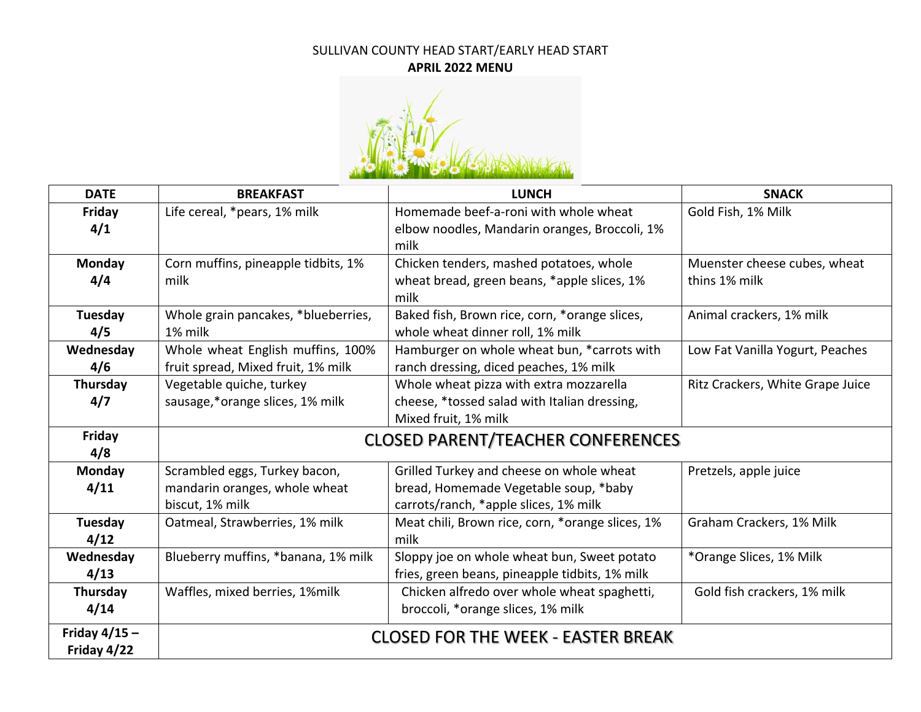## SULLIVAN COUNTY HEAD START/EARLY HEAD START **APRIL 2022 MENU**



| <b>DATE</b>     | <b>BREAKFAST</b>                         | <b>LUNCH</b>                                     | <b>SNACK</b>                     |
|-----------------|------------------------------------------|--------------------------------------------------|----------------------------------|
| Friday          | Life cereal, *pears, 1% milk             | Homemade beef-a-roni with whole wheat            | Gold Fish, 1% Milk               |
| 4/1             |                                          | elbow noodles, Mandarin oranges, Broccoli, 1%    |                                  |
|                 |                                          | milk                                             |                                  |
| <b>Monday</b>   | Corn muffins, pineapple tidbits, 1%      | Chicken tenders, mashed potatoes, whole          | Muenster cheese cubes, wheat     |
| 4/4             | milk                                     | wheat bread, green beans, *apple slices, 1%      | thins 1% milk                    |
|                 |                                          | milk                                             |                                  |
| <b>Tuesday</b>  | Whole grain pancakes, *blueberries,      | Baked fish, Brown rice, corn, *orange slices,    | Animal crackers, 1% milk         |
| 4/5             | 1% milk                                  | whole wheat dinner roll, 1% milk                 |                                  |
| Wednesday       | Whole wheat English muffins, 100%        | Hamburger on whole wheat bun, *carrots with      | Low Fat Vanilla Yogurt, Peaches  |
| 4/6             | fruit spread, Mixed fruit, 1% milk       | ranch dressing, diced peaches, 1% milk           |                                  |
| Thursday        | Vegetable quiche, turkey                 | Whole wheat pizza with extra mozzarella          | Ritz Crackers, White Grape Juice |
| 4/7             | sausage,*orange slices, 1% milk          | cheese, *tossed salad with Italian dressing,     |                                  |
|                 |                                          | Mixed fruit, 1% milk                             |                                  |
| Friday          | <b>CLOSED PARENT/TEACHER CONFERENCES</b> |                                                  |                                  |
| 4/8             |                                          |                                                  |                                  |
| Monday          | Scrambled eggs, Turkey bacon,            | Grilled Turkey and cheese on whole wheat         | Pretzels, apple juice            |
| 4/11            | mandarin oranges, whole wheat            | bread, Homemade Vegetable soup, *baby            |                                  |
|                 | biscut, 1% milk                          | carrots/ranch, *apple slices, 1% milk            |                                  |
| <b>Tuesday</b>  | Oatmeal, Strawberries, 1% milk           | Meat chili, Brown rice, corn, *orange slices, 1% | Graham Crackers, 1% Milk         |
| 4/12            |                                          | milk                                             |                                  |
| Wednesday       | Blueberry muffins, *banana, 1% milk      | Sloppy joe on whole wheat bun, Sweet potato      | *Orange Slices, 1% Milk          |
| 4/13            |                                          | fries, green beans, pineapple tidbits, 1% milk   |                                  |
| Thursday        | Waffles, mixed berries, 1%milk           | Chicken alfredo over whole wheat spaghetti,      | Gold fish crackers, 1% milk      |
| 4/14            |                                          | broccoli, *orange slices, 1% milk                |                                  |
| Friday $4/15 -$ |                                          | <b>CLOSED FOR THE WEEK - EASTER BREAK</b>        |                                  |
| Friday 4/22     |                                          |                                                  |                                  |